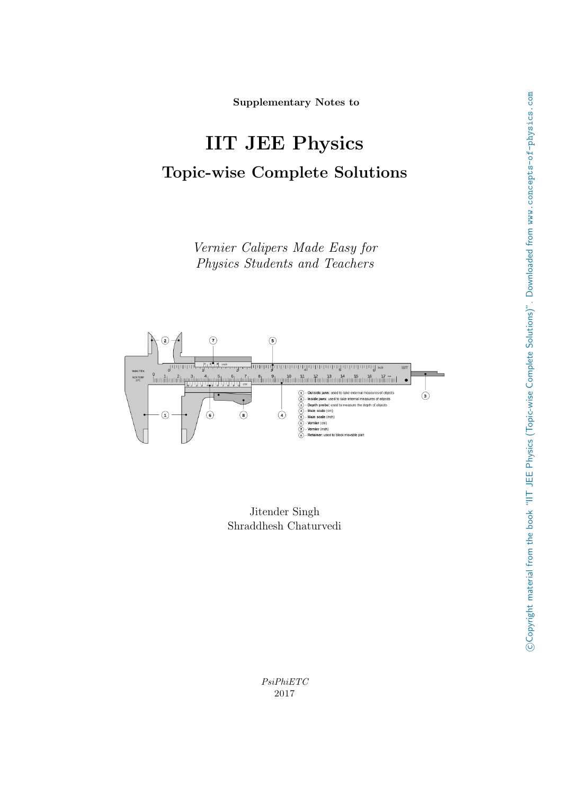Supplementary Notes to

# IIT JEE Physics Topic-wise Complete Solutions

Vernier Calipers Made Easy for Physics Students and Teachers



Jitender Singh Shraddhesh Chaturvedi

PsiPhiETC 2017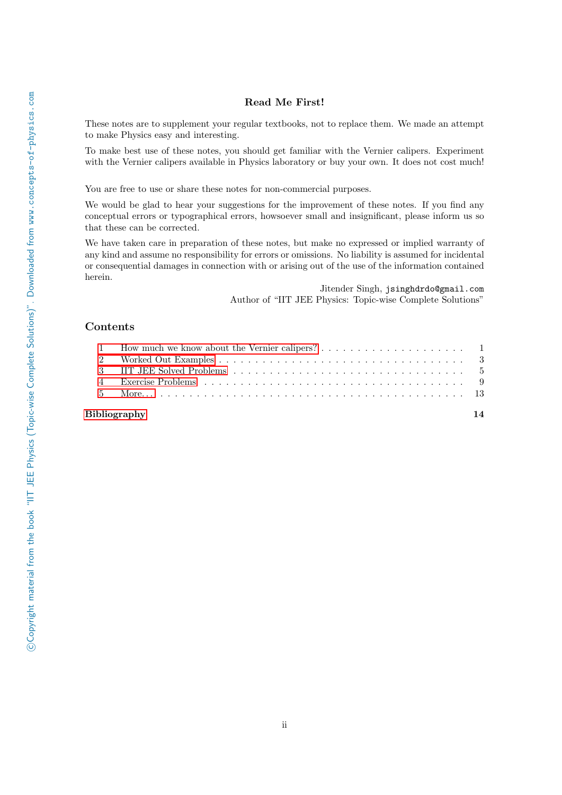#### Read Me First!

These notes are to supplement your regular textbooks, not to replace them. We made an attempt to make Physics easy and interesting.

To make best use of these notes, you should get familiar with the Vernier calipers. Experiment with the Vernier calipers available in Physics laboratory or buy your own. It does not cost much!

You are free to use or share these notes for non-commercial purposes.

We would be glad to hear your suggestions for the improvement of these notes. If you find any conceptual errors or typographical errors, howsoever small and insignificant, please inform us so that these can be corrected.

We have taken care in preparation of these notes, but make no expressed or implied warranty of any kind and assume no responsibility for errors or omissions. No liability is assumed for incidental or consequential damages in connection with or arising out of the use of the information contained herein.

> Jitender Singh, jsinghdrdo@gmail.com Author of "IIT JEE Physics: Topic-wise Complete Solutions"

#### Contents

| Bibliography |  |  |
|--------------|--|--|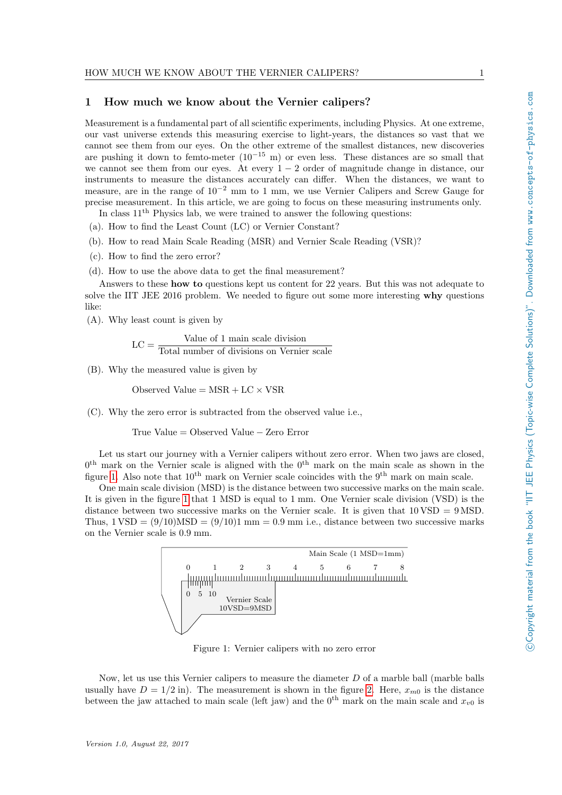#### <span id="page-2-0"></span>1 How much we know about the Vernier calipers?

Measurement is a fundamental part of all scientific experiments, including Physics. At one extreme, our vast universe extends this measuring exercise to light-years, the distances so vast that we cannot see them from our eyes. On the other extreme of the smallest distances, new discoveries are pushing it down to femto-meter  $(10^{-15} \text{ m})$  or even less. These distances are so small that we cannot see them from our eyes. At every  $1 - 2$  order of magnitude change in distance, our instruments to measure the distances accurately can differ. When the distances, we want to measure, are in the range of 10−<sup>2</sup> mm to 1 mm, we use Vernier Calipers and Screw Gauge for precise measurement. In this article, we are going to focus on these measuring instruments only.

In class  $11<sup>th</sup>$  Physics lab, we were trained to answer the following questions:

(a). How to find the Least Count (LC) or Vernier Constant?

- (b). How to read Main Scale Reading (MSR) and Vernier Scale Reading (VSR)?
- (c). How to find the zero error?
- (d). How to use the above data to get the final measurement?

Answers to these how to questions kept us content for 22 years. But this was not adequate to solve the IIT JEE 2016 problem. We needed to figure out some more interesting why questions like:

(A). Why least count is given by

$$
LC = \frac{Value\ of\ 1\ main\ scale\ division}{Total\ number\ of\ divisions\ on\ Vernier\ scale}
$$

(B). Why the measured value is given by

Observed Value  $=$  MSR + LC  $\times$  VSR

(C). Why the zero error is subtracted from the observed value i.e.,

True Value = Observed Value − Zero Error

Let us start our journey with a Vernier calipers without zero error. When two jaws are closed,  $0<sup>th</sup>$  mark on the Vernier scale is aligned with the  $0<sup>th</sup>$  mark on the main scale as shown in the figure [1.](#page-2-1) Also note that  $10^{th}$  mark on Vernier scale coincides with the  $9^{th}$  mark on main scale.

One main scale division (MSD) is the distance between two successive marks on the main scale. It is given in the figure [1](#page-2-1) that 1 MSD is equal to 1 mm. One Vernier scale division (VSD) is the distance between two successive marks on the Vernier scale. It is given that  $10 \text{ VSD} = 9 \text{ MSD}$ . Thus,  $1 \text{ VSD} = (9/10) \text{MSD} = (9/10)1 \text{ mm} = 0.9 \text{ mm}$  i.e., distance between two successive marks on the Vernier scale is 0.9 mm.



<span id="page-2-1"></span>Figure 1: Vernier calipers with no zero error

Now, let us use this Vernier calipers to measure the diameter  $D$  of a marble ball (marble balls usually have  $D = 1/2$  in). The measurement is shown in the figure [2.](#page-3-0) Here,  $x_{m0}$  is the distance between the jaw attached to main scale (left jaw) and the 0<sup>th</sup> mark on the main scale and  $x_{v0}$  is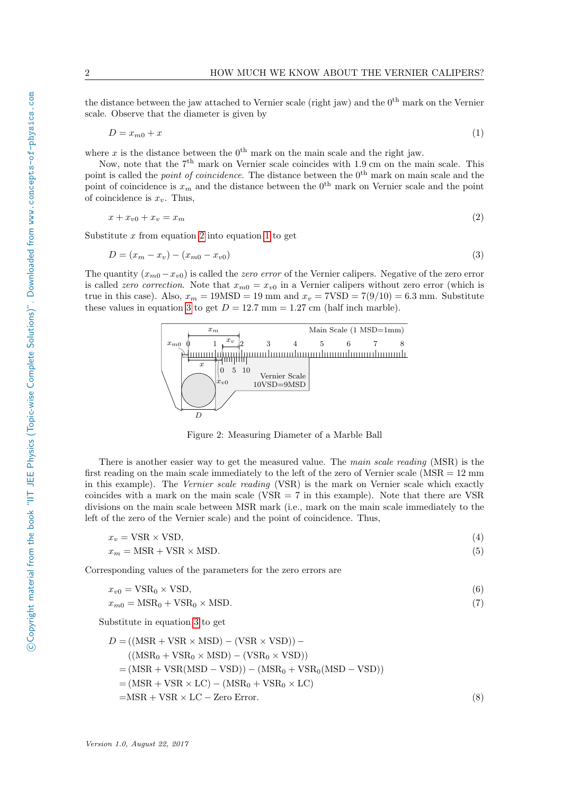the distance between the jaw attached to Vernier scale (right jaw) and the  $0<sup>th</sup>$  mark on the Vernier scale. Observe that the diameter is given by

<span id="page-3-2"></span>
$$
D = x_{m0} + x \tag{1}
$$

where x is the distance between the  $0<sup>th</sup>$  mark on the main scale and the right jaw.

Now, note that the  $7<sup>th</sup>$  mark on Vernier scale coincides with 1.9 cm on the main scale. This point is called the *point of coincidence*. The distance between the 0<sup>th</sup> mark on main scale and the point of coincidence is  $x_m$  and the distance between the 0<sup>th</sup> mark on Vernier scale and the point of coincidence is  $x_v$ . Thus,

$$
x + x_{v0} + x_v = x_m \tag{2}
$$

Substitute  $x$  from equation [2](#page-3-1) into equation [1](#page-3-2) to get

$$
D = (x_m - x_v) - (x_{m0} - x_{v0})
$$
\n(3)

The quantity  $(x_{m0} - x_{v0})$  is called the *zero error* of the Vernier calipers. Negative of the zero error is called zero correction. Note that  $x_{m0} = x_{v0}$  in a Vernier calipers without zero error (which is true in this case). Also,  $x_m = 19\text{MSD} = 19 \text{ mm}$  and  $x_v = 7\text{VSD} = 7(9/10) = 6.3 \text{ mm}$ . Substitute these values in equation [3](#page-3-3) to get  $D = 12.7$  mm = 1.27 cm (half inch marble).

<span id="page-3-3"></span><span id="page-3-1"></span>

<span id="page-3-0"></span>Figure 2: Measuring Diameter of a Marble Ball

There is another easier way to get the measured value. The main scale reading (MSR) is the first reading on the main scale immediately to the left of the zero of Vernier scale (MSR = 12 mm in this example). The Vernier scale reading (VSR) is the mark on Vernier scale which exactly coincides with a mark on the main scale (VSR  $= 7$  in this example). Note that there are VSR divisions on the main scale between MSR mark (i.e., mark on the main scale immediately to the left of the zero of the Vernier scale) and the point of coincidence. Thus,

$$
x_v = \text{VSR} \times \text{VSD},\tag{4}
$$
  

$$
x_m = \text{MSR} + \text{VSR} \times \text{MSD}.\tag{5}
$$

Corresponding values of the parameters for the zero errors are

$$
x_{v0} = \text{VSR}_0 \times \text{VSD},\tag{6}
$$

$$
x_{m0} = \text{MSR}_0 + \text{VSR}_0 \times \text{MSD}.\tag{7}
$$

Substitute in equation [3](#page-3-3) to get

$$
D = ((\text{MSR} + \text{VSR} \times \text{MSD}) - (\text{VSR} \times \text{VSD})) -
$$
  
\n
$$
((\text{MSR}_0 + \text{VSR}_0 \times \text{MSD}) - (\text{VSR}_0 \times \text{VSD}))
$$
  
\n
$$
= (\text{MSR} + \text{VSR}(\text{MSD} - \text{VSD})) - (\text{MSR}_0 + \text{VSR}_0(\text{MSD} - \text{VSD}))
$$
  
\n
$$
= (\text{MSR} + \text{VSR} \times \text{LC}) - (\text{MSR}_0 + \text{VSR}_0 \times \text{LC})
$$
  
\n
$$
= \text{MSR} + \text{VSR} \times \text{LC} - \text{Zero Error.}
$$
 (8)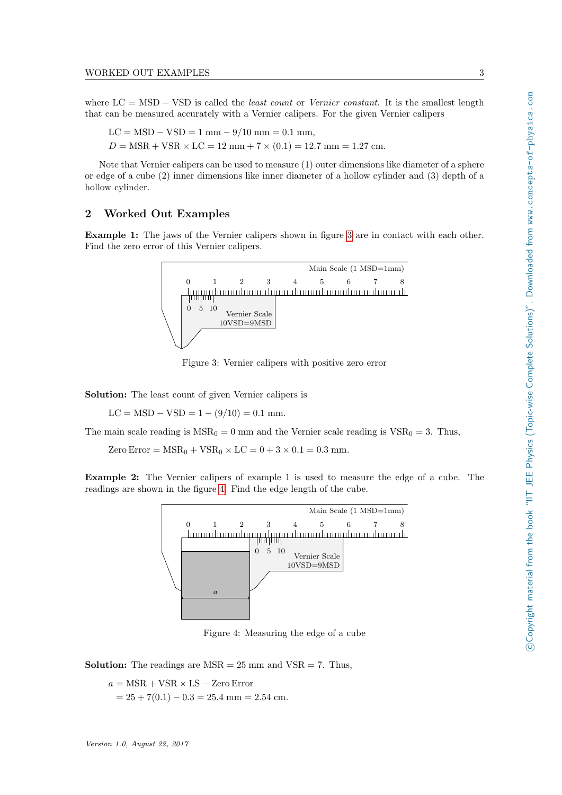where  $LC = MSD - VSD$  is called the *least count* or *Vernier constant*. It is the smallest length that can be measured accurately with a Vernier calipers. For the given Vernier calipers

 $LC = MSD - VSD = 1$  mm  $-9/10$  mm  $= 0.1$  mm,  $D = \text{MSR} + \text{VSR} \times \text{LC} = 12 \text{ mm} + 7 \times (0.1) = 12.7 \text{ mm} = 1.27 \text{ cm}.$ 

Note that Vernier calipers can be used to measure (1) outer dimensions like diameter of a sphere or edge of a cube (2) inner dimensions like inner diameter of a hollow cylinder and (3) depth of a hollow cylinder.

### <span id="page-4-0"></span>2 Worked Out Examples

Example 1: The jaws of the Vernier calipers shown in figure [3](#page-4-1) are in contact with each other. Find the zero error of this Vernier calipers.



<span id="page-4-1"></span>Figure 3: Vernier calipers with positive zero error

Solution: The least count of given Vernier calipers is

 $LC = MSD - VSD = 1 - (9/10) = 0.1$  mm.

The main scale reading is  $MSR_0 = 0$  mm and the Vernier scale reading is  $VSR_0 = 3$ . Thus,

Zero Error =  $MSR_0 + VSR_0 \times LC = 0 + 3 \times 0.1 = 0.3$  mm.

Example 2: The Vernier calipers of example 1 is used to measure the edge of a cube. The readings are shown in the figure [4.](#page-4-2) Find the edge length of the cube.



<span id="page-4-2"></span>Figure 4: Measuring the edge of a cube

**Solution:** The readings are  $MSR = 25$  mm and  $VSR = 7$ . Thus,

 $a = \text{MSR} + \text{VSR} \times \text{LS} - \text{Zero Error}$  $= 25 + 7(0.1) - 0.3 = 25.4$  mm  $= 2.54$  cm.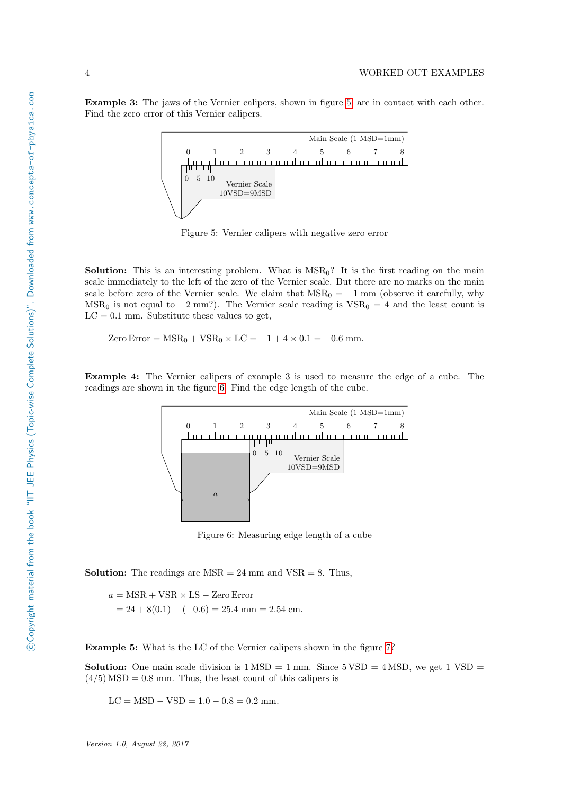Example 3: The jaws of the Vernier calipers, shown in figure [5,](#page-5-0) are in contact with each other. Find the zero error of this Vernier calipers.



<span id="page-5-0"></span>Figure 5: Vernier calipers with negative zero error

**Solution:** This is an interesting problem. What is  $MSR_0$ ? It is the first reading on the main scale immediately to the left of the zero of the Vernier scale. But there are no marks on the main scale before zero of the Vernier scale. We claim that  $MSR_0 = -1$  mm (observe it carefully, why MSR<sub>0</sub> is not equal to  $-2$  mm?). The Vernier scale reading is  $VSR_0 = 4$  and the least count is  $LC = 0.1$  mm. Substitute these values to get,

Zero Error =  $MSR_0 + VSR_0 \times LC = -1 + 4 \times 0.1 = -0.6$  mm.

Example 4: The Vernier calipers of example 3 is used to measure the edge of a cube. The readings are shown in the figure [6.](#page-5-1) Find the edge length of the cube.



<span id="page-5-1"></span>Figure 6: Measuring edge length of a cube

**Solution:** The readings are  $MSR = 24$  mm and  $VSR = 8$ . Thus,

 $a = \text{MSR} + \text{VSR} \times \text{LS} - \text{Zero Error}$  $= 24 + 8(0.1) - (-0.6) = 25.4$  mm  $= 2.54$  cm.

Example 5: What is the LC of the Vernier calipers shown in the figure [7?](#page-6-1)

**Solution:** One main scale division is  $1 \text{ MSD} = 1 \text{ mm}$ . Since  $5 \text{ VSD} = 4 \text{ MSD}$ , we get  $1 \text{ VSD} =$  $(4/5)$  MSD = 0.8 mm. Thus, the least count of this calipers is

 $LC = MSD - VSD = 1.0 - 0.8 = 0.2$  mm.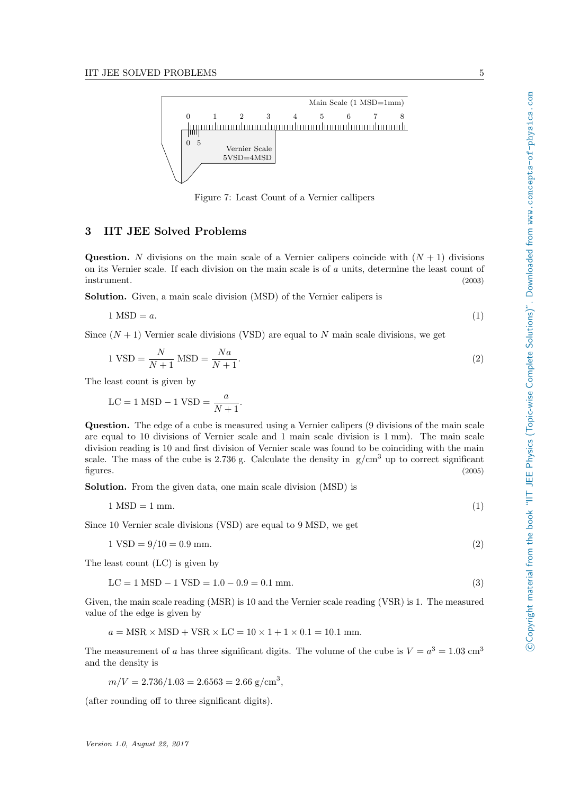

<span id="page-6-3"></span><span id="page-6-2"></span><span id="page-6-1"></span>Figure 7: Least Count of a Vernier callipers

#### <span id="page-6-0"></span>3 IIT JEE Solved Problems

**Question.** N divisions on the main scale of a Vernier calipers coincide with  $(N + 1)$  divisions on its Vernier scale. If each division on the main scale is of a units, determine the least count of instrument. (2003)

Solution. Given, a main scale division (MSD) of the Vernier calipers is

$$
1\text{ MSD} = a.\tag{1}
$$

Since  $(N + 1)$  Vernier scale divisions (VSD) are equal to N main scale divisions, we get

$$
1 \text{ VSD} = \frac{N}{N+1} \text{ MSD} = \frac{Na}{N+1}.\tag{2}
$$

The least count is given by

$$
LC = 1 \text{ MSD} - 1 \text{ VSD} = \frac{a}{N+1}.
$$

Question. The edge of a cube is measured using a Vernier calipers (9 divisions of the main scale are equal to 10 divisions of Vernier scale and 1 main scale division is 1 mm). The main scale division reading is 10 and first division of Vernier scale was found to be coinciding with the main scale. The mass of the cube is 2.736 g. Calculate the density in  $g/cm<sup>3</sup>$  up to correct significant figures. (2005)

Solution. From the given data, one main scale division (MSD) is

 $1 \text{ MSD} = 1 \text{ mm}.$  (1)

Since 10 Vernier scale divisions (VSD) are equal to 9 MSD, we get

 $1 \text{ VSD} = 9/10 = 0.9 \text{ mm}.$  (2)

The least count (LC) is given by

$$
LC = 1 MSD - 1 VSD = 1.0 - 0.9 = 0.1 mm.
$$
\n(3)

Given, the main scale reading (MSR) is 10 and the Vernier scale reading (VSR) is 1. The measured value of the edge is given by

$$
a = \text{MSR} \times \text{MSD} + \text{VSR} \times \text{LC} = 10 \times 1 + 1 \times 0.1 = 10.1 \text{ mm}.
$$

The measurement of a has three significant digits. The volume of the cube is  $V = a^3 = 1.03$  cm<sup>3</sup> and the density is

$$
m/V = 2.736/1.03 = 2.6563 = 2.66
$$
 g/cm<sup>3</sup>,

(after rounding off to three significant digits).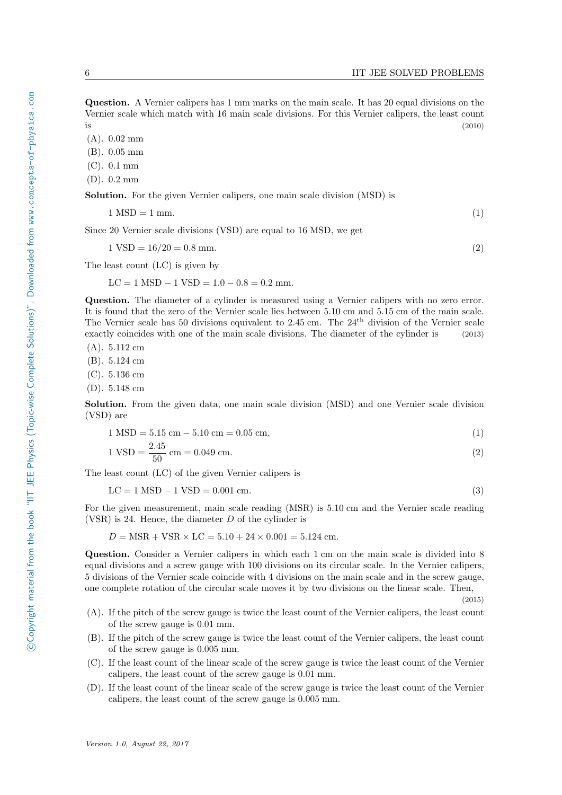Question. A Vernier calipers has 1 mm marks on the main scale. It has 20 equal divisions on the Vernier scale which match with 16 main scale divisions. For this Vernier calipers, the least count  $i$  is (2010)

(A). 0.02 mm

(B). 0.05 mm

(C). 0.1 mm

(D). 0.2 mm

Solution. For the given Vernier calipers, one main scale division (MSD) is

 $1 \text{ MSD} = 1 \text{ mm}.$  (1)

Since 20 Vernier scale divisions (VSD) are equal to 16 MSD, we get

 $1 \text{ VSD} = 16/20 = 0.8 \text{ mm}.$  (2)

The least count (LC) is given by

 $LC = 1$  MSD  $- 1$  VSD  $= 1.0 - 0.8 = 0.2$  mm.

Question. The diameter of a cylinder is measured using a Vernier calipers with no zero error. It is found that the zero of the Vernier scale lies between 5.10 cm and 5.15 cm of the main scale. The Vernier scale has 50 divisions equivalent to 2.45 cm. The 24th division of the Vernier scale exactly coincides with one of the main scale divisions. The diameter of the cylinder is (2013)

(A). 5.112 cm

(B). 5.124 cm

(C). 5.136 cm

(D). 5.148 cm

Solution. From the given data, one main scale division (MSD) and one Vernier scale division (VSD) are

$$
1 \text{ MSD} = 5.15 \text{ cm} - 5.10 \text{ cm} = 0.05 \text{ cm},\tag{1}
$$

$$
1 \text{ VSD} = \frac{2.45}{50} \text{ cm} = 0.049 \text{ cm}.
$$
\n<sup>(2)</sup>

The least count (LC) of the given Vernier calipers is

$$
LC = 1 MSD - 1 VSD = 0.001 cm.
$$
\n(3)

For the given measurement, main scale reading (MSR) is 5.10 cm and the Vernier scale reading (VSR) is 24. Hence, the diameter  $D$  of the cylinder is

$$
D = \text{MSR} + \text{VSR} \times \text{LC} = 5.10 + 24 \times 0.001 = 5.124 \text{ cm}.
$$

Question. Consider a Vernier calipers in which each 1 cm on the main scale is divided into 8 equal divisions and a screw gauge with 100 divisions on its circular scale. In the Vernier calipers, 5 divisions of the Vernier scale coincide with 4 divisions on the main scale and in the screw gauge, one complete rotation of the circular scale moves it by two divisions on the linear scale. Then,

(2015)

- (A). If the pitch of the screw gauge is twice the least count of the Vernier calipers, the least count of the screw gauge is 0.01 mm.
- (B). If the pitch of the screw gauge is twice the least count of the Vernier calipers, the least count of the screw gauge is 0.005 mm.
- (C). If the least count of the linear scale of the screw gauge is twice the least count of the Vernier calipers, the least count of the screw gauge is 0.01 mm.
- (D). If the least count of the linear scale of the screw gauge is twice the least count of the Vernier calipers, the least count of the screw gauge is 0.005 mm.

©Copyright material from the book "IIT JEE Physics (Topic-wise Complete Solutions)". Downloaded from www.concepts-of-physics.com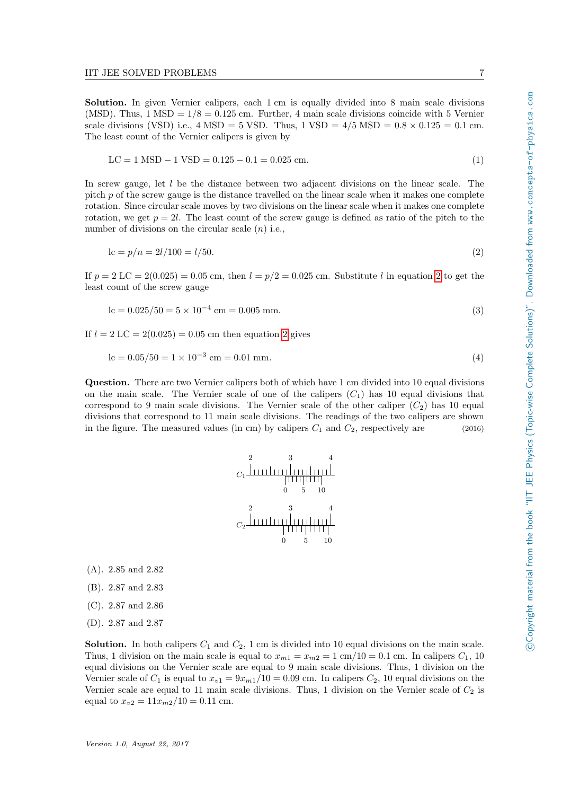Solution. In given Vernier calipers, each 1 cm is equally divided into 8 main scale divisions (MSD). Thus,  $1 \text{ MSD} = 1/8 = 0.125 \text{ cm}$ . Further, 4 main scale divisions coincide with 5 Vernier scale divisions (VSD) i.e.,  $4 \text{ MSD} = 5 \text{ VSD}$ . Thus,  $1 \text{ VSD} = 4/5 \text{ MSD} = 0.8 \times 0.125 = 0.1 \text{ cm}$ . The least count of the Vernier calipers is given by

$$
LC = 1 MSD - 1 VSD = 0.125 - 0.1 = 0.025 cm.
$$
\n
$$
(1)
$$

In screw gauge, let  $l$  be the distance between two adjacent divisions on the linear scale. The pitch p of the screw gauge is the distance travelled on the linear scale when it makes one complete rotation. Since circular scale moves by two divisions on the linear scale when it makes one complete rotation, we get  $p = 2l$ . The least count of the screw gauge is defined as ratio of the pitch to the number of divisions on the circular scale  $(n)$  i.e.,

$$
lc = p/n = 2l/100 = l/50.
$$
\n(2)

If  $p = 2 LC = 2(0.025) = 0.05$  $p = 2 LC = 2(0.025) = 0.05$  $p = 2 LC = 2(0.025) = 0.05$  cm, then  $l = p/2 = 0.025$  cm. Substitute l in equation 2 to get the least count of the screw gauge

$$
lc = 0.025/50 = 5 \times 10^{-4} cm = 0.005 mm.
$$
\n(3)

If  $l = 2 LC = 2(0.025) = 0.05$  $l = 2 LC = 2(0.025) = 0.05$  $l = 2 LC = 2(0.025) = 0.05$  cm then equation 2 gives

$$
lc = 0.05/50 = 1 \times 10^{-3} cm = 0.01 mm.
$$
\n(4)

Question. There are two Vernier calipers both of which have 1 cm divided into 10 equal divisions on the main scale. The Vernier scale of one of the calipers  $(C_1)$  has 10 equal divisions that correspond to 9 main scale divisions. The Vernier scale of the other caliper  $(C_2)$  has 10 equal divisions that correspond to 11 main scale divisions. The readings of the two calipers are shown in the figure. The measured values (in cm) by calipers  $C_1$  and  $C_2$ , respectively are (2016)



(A). 2.85 and 2.82

- (B). 2.87 and 2.83
- (C). 2.87 and 2.86
- (D). 2.87 and 2.87

**Solution.** In both calipers  $C_1$  and  $C_2$ , 1 cm is divided into 10 equal divisions on the main scale. Thus, 1 division on the main scale is equal to  $x_{m1} = x_{m2} = 1$  cm/10 = 0.1 cm. In calipers  $C_1$ , 10 equal divisions on the Vernier scale are equal to 9 main scale divisions. Thus, 1 division on the Vernier scale of  $C_1$  is equal to  $x_{v1} = 9x_{m1}/10 = 0.09$  cm. In calipers  $C_2$ , 10 equal divisions on the Vernier scale are equal to 11 main scale divisions. Thus, 1 division on the Vernier scale of  $C_2$  is equal to  $x_{v2} = 11x_{m2}/10 = 0.11$  cm.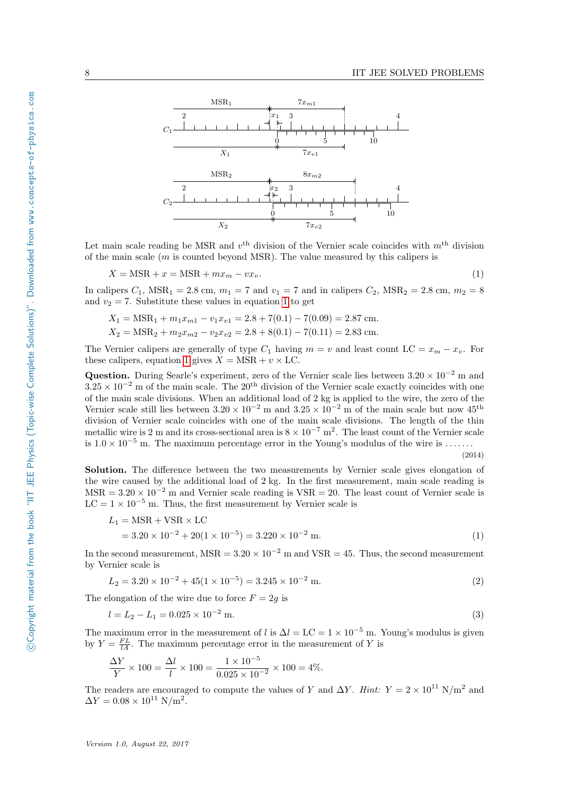

Let main scale reading be MSR and  $v^{\text{th}}$  division of the Vernier scale coincides with  $m^{\text{th}}$  division of the main scale  $(m \text{ is counted beyond MSR})$ . The value measured by this calipers is

$$
X = \text{MSR} + x = \text{MSR} + mx_m - vx_v. \tag{1}
$$

In calipers  $C_1$ ,  $MSR_1 = 2.8$  cm,  $m_1 = 7$  and  $v_1 = 7$  and in calipers  $C_2$ ,  $MSR_2 = 2.8$  cm,  $m_2 = 8$ and  $v_2 = 7$ . Substitute these values in equation [1](#page-6-3) to get

$$
X_1 = \text{MSR}_1 + m_1 x_{m1} - v_1 x_{v1} = 2.8 + 7(0.1) - 7(0.09) = 2.87 \text{ cm}.
$$
  

$$
X_2 = \text{MSR}_2 + m_2 x_{m2} - v_2 x_{v2} = 2.8 + 8(0.1) - 7(0.11) = 2.83 \text{ cm}.
$$

The Vernier calipers are generally of type  $C_1$  having  $m = v$  and least count  $LC = x_m - x_v$ . For these calipers, equation [1](#page-6-3) gives  $X = \text{MSR} + v \times \text{LC}$ .

Question. During Searle's experiment, zero of the Vernier scale lies between  $3.20 \times 10^{-2}$  m and  $3.25 \times 10^{-2}$  m of the main scale. The 20<sup>th</sup> division of the Vernier scale exactly coincides with one of the main scale divisions. When an additional load of 2 kg is applied to the wire, the zero of the Vernier scale still lies between  $3.20 \times 10^{-2}$  m and  $3.25 \times 10^{-2}$  m of the main scale but now  $45^{\text{th}}$ division of Vernier scale coincides with one of the main scale divisions. The length of the thin metallic wire is 2 m and its cross-sectional area is  $8 \times 10^{-7}$  m<sup>2</sup>. The least count of the Vernier scale is  $1.0 \times 10^{-5}$  m. The maximum percentage error in the Young's modulus of the wire is ......

(2014)

Solution. The difference between the two measurements by Vernier scale gives elongation of the wire caused by the additional load of 2 kg. In the first measurement, main scale reading is  $MSR = 3.20 \times 10^{-2}$  m and Vernier scale reading is  $VSR = 20$ . The least count of Vernier scale is LC =  $1 \times 10^{-5}$  m. Thus, the first measurement by Vernier scale is

$$
L_1 = \text{MSR} + \text{VSR} \times \text{LC}
$$
  
= 3.20 × 10<sup>-2</sup> + 20(1 × 10<sup>-5</sup>) = 3.220 × 10<sup>-2</sup> m. (1)

In the second measurement, MSR =  $3.20 \times 10^{-2}$  m and VSR = 45. Thus, the second measurement by Vernier scale is

$$
L_2 = 3.20 \times 10^{-2} + 45(1 \times 10^{-5}) = 3.245 \times 10^{-2} \text{ m.}
$$
 (2)

The elongation of the wire due to force  $F = 2g$  is

$$
l = L_2 - L_1 = 0.025 \times 10^{-2} \text{ m.}
$$
\n<sup>(3)</sup>

The maximum error in the measurement of l is  $\Delta l = LC = 1 \times 10^{-5}$  m. Young's modulus is given by  $Y = \frac{FL}{lA}$ . The maximum percentage error in the measurement of Y is

$$
\frac{\Delta Y}{Y} \times 100 = \frac{\Delta l}{l} \times 100 = \frac{1 \times 10^{-5}}{0.025 \times 10^{-2}} \times 100 = 4\%.
$$

The readers are encouraged to compute the values of Y and  $\Delta Y$ . Hint: Y = 2 × 10<sup>11</sup> N/m<sup>2</sup> and  $\Delta Y = 0.08 \times 10^{11} \text{ N/m}^2$ .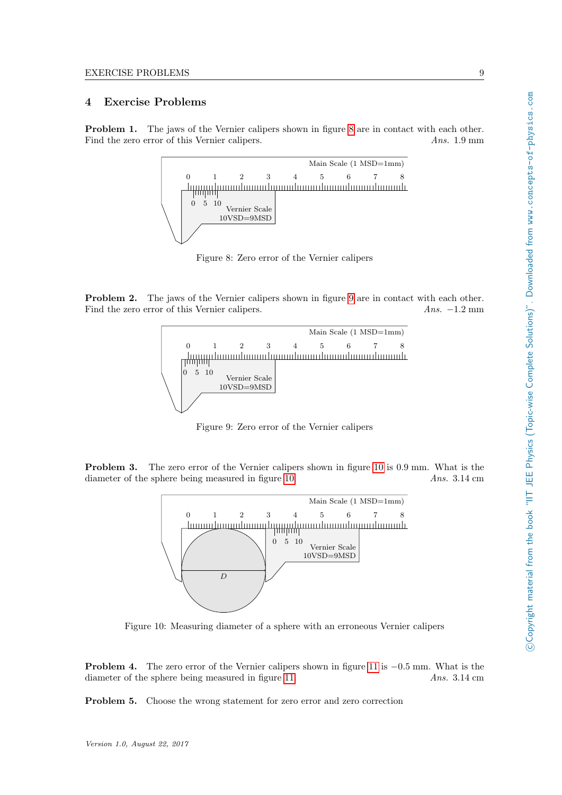## <span id="page-10-0"></span>4 Exercise Problems

Problem 1. The jaws of the Vernier calipers shown in figure [8](#page-10-1) are in contact with each other. Find the zero error of this Vernier calipers. Ans. 1.9 mm



<span id="page-10-1"></span>Figure 8: Zero error of the Vernier calipers

Problem 2. The jaws of the Vernier calipers shown in figure [9](#page-10-2) are in contact with each other. Find the zero error of this Vernier calipers. Ans. −1.2 mm



<span id="page-10-2"></span>Figure 9: Zero error of the Vernier calipers

Problem 3. The zero error of the Vernier calipers shown in figure [10](#page-10-3) is 0.9 mm. What is the diameter of the sphere being measured in figure [10.](#page-10-3) Ans. 3.14 cm



<span id="page-10-3"></span>Figure 10: Measuring diameter of a sphere with an erroneous Vernier calipers

Problem 4. The zero error of the Vernier calipers shown in figure [11](#page-11-0) is −0.5 mm. What is the diameter of the sphere being measured in figure [11.](#page-11-0) Ans. 3.14 cm

Problem 5. Choose the wrong statement for zero error and zero correction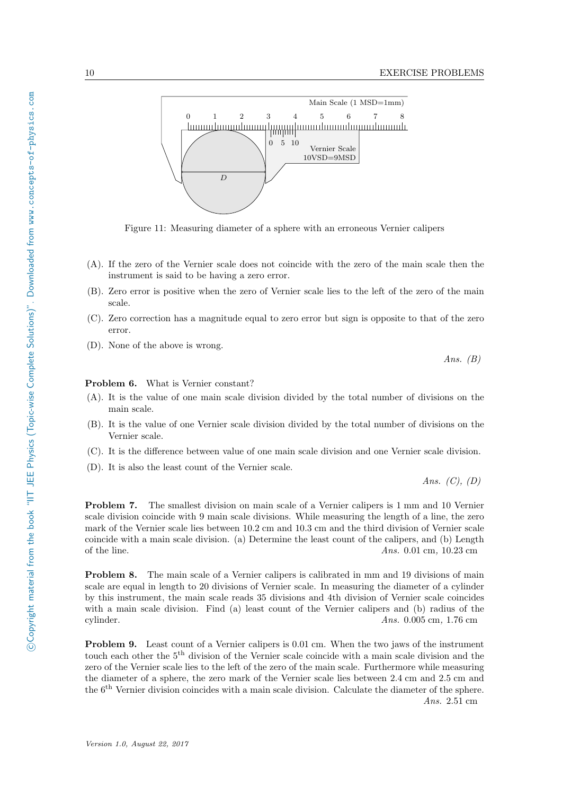

<span id="page-11-0"></span>Figure 11: Measuring diameter of a sphere with an erroneous Vernier calipers

- (A). If the zero of the Vernier scale does not coincide with the zero of the main scale then the instrument is said to be having a zero error.
- (B). Zero error is positive when the zero of Vernier scale lies to the left of the zero of the main scale.
- (C). Zero correction has a magnitude equal to zero error but sign is opposite to that of the zero error.
- (D). None of the above is wrong.

Ans.  $(B)$ 

Problem 6. What is Vernier constant?

- (A). It is the value of one main scale division divided by the total number of divisions on the main scale.
- (B). It is the value of one Vernier scale division divided by the total number of divisions on the Vernier scale.
- (C). It is the difference between value of one main scale division and one Vernier scale division.
- (D). It is also the least count of the Vernier scale.

Ans.  $(C)$ ,  $(D)$ 

Problem 7. The smallest division on main scale of a Vernier calipers is 1 mm and 10 Vernier scale division coincide with 9 main scale divisions. While measuring the length of a line, the zero mark of the Vernier scale lies between 10.2 cm and 10.3 cm and the third division of Vernier scale coincide with a main scale division. (a) Determine the least count of the calipers, and (b) Length of the line.  $Ans. 0.01 \text{ cm}, 10.23 \text{ cm}$ 

Problem 8. The main scale of a Vernier calipers is calibrated in mm and 19 divisions of main scale are equal in length to 20 divisions of Vernier scale. In measuring the diameter of a cylinder by this instrument, the main scale reads 35 divisions and 4th division of Vernier scale coincides with a main scale division. Find (a) least count of the Vernier calipers and (b) radius of the cylinder. Ans. 0.005 cm, 1.76 cm

Problem 9. Least count of a Vernier calipers is 0.01 cm. When the two jaws of the instrument touch each other the 5th division of the Vernier scale coincide with a main scale division and the zero of the Vernier scale lies to the left of the zero of the main scale. Furthermore while measuring the diameter of a sphere, the zero mark of the Vernier scale lies between 2.4 cm and 2.5 cm and the 6th Vernier division coincides with a main scale division. Calculate the diameter of the sphere. Ans. 2.51 cm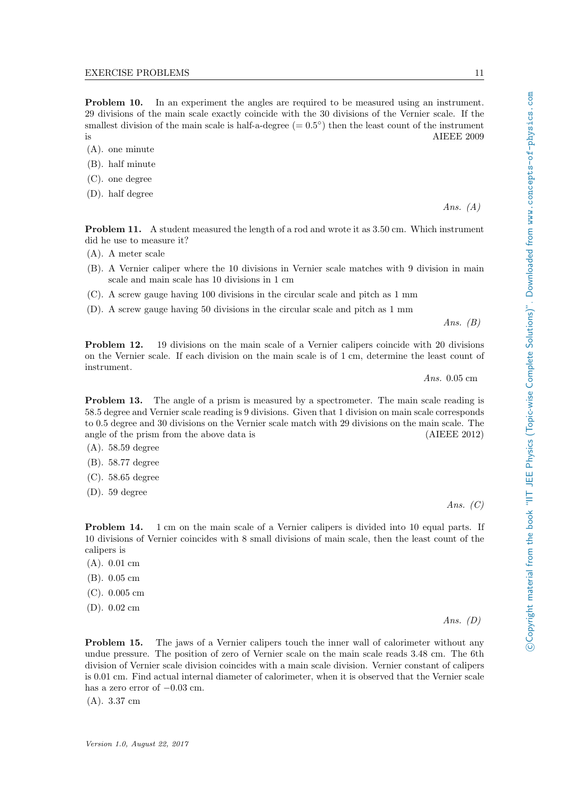**Problem 10.** In an experiment the angles are required to be measured using an instrument. 29 divisions of the main scale exactly coincide with the 30 divisions of the Vernier scale. If the smallest division of the main scale is half-a-degree  $(= 0.5^{\circ})$  then the least count of the instrument is AIEEE 2009

- (A). one minute
- (B). half minute
- (C). one degree
- (D). half degree

Problem 11. A student measured the length of a rod and wrote it as 3.50 cm. Which instrument did he use to measure it?

- (A). A meter scale
- (B). A Vernier caliper where the 10 divisions in Vernier scale matches with 9 division in main scale and main scale has 10 divisions in 1 cm
- (C). A screw gauge having 100 divisions in the circular scale and pitch as 1 mm
- (D). A screw gauge having 50 divisions in the circular scale and pitch as 1 mm

Ans.  $(B)$ 

Ans.  $(A)$ 

Problem 12. 19 divisions on the main scale of a Vernier calipers coincide with 20 divisions on the Vernier scale. If each division on the main scale is of 1 cm, determine the least count of instrument.

Ans. 0.05 cm

Problem 13. The angle of a prism is measured by a spectrometer. The main scale reading is 58.5 degree and Vernier scale reading is 9 divisions. Given that 1 division on main scale corresponds to 0.5 degree and 30 divisions on the Vernier scale match with 29 divisions on the main scale. The angle of the prism from the above data is (AIEEE 2012)

- (A). 58.59 degree
- (B). 58.77 degree
- (C). 58.65 degree
- (D). 59 degree

Ans.  $(C)$ 

Ans.  $(D)$ 

**Problem 14.** 1 cm on the main scale of a Vernier calipers is divided into 10 equal parts. If 10 divisions of Vernier coincides with 8 small divisions of main scale, then the least count of the calipers is

- (A). 0.01 cm
- (B). 0.05 cm
- (C). 0.005 cm
- (D). 0.02 cm

Problem 15. The jaws of a Vernier calipers touch the inner wall of calorimeter without any undue pressure. The position of zero of Vernier scale on the main scale reads 3.48 cm. The 6th division of Vernier scale division coincides with a main scale division. Vernier constant of calipers is 0.01 cm. Find actual internal diameter of calorimeter, when it is observed that the Vernier scale has a zero error of  $-0.03$  cm.

(A). 3.37 cm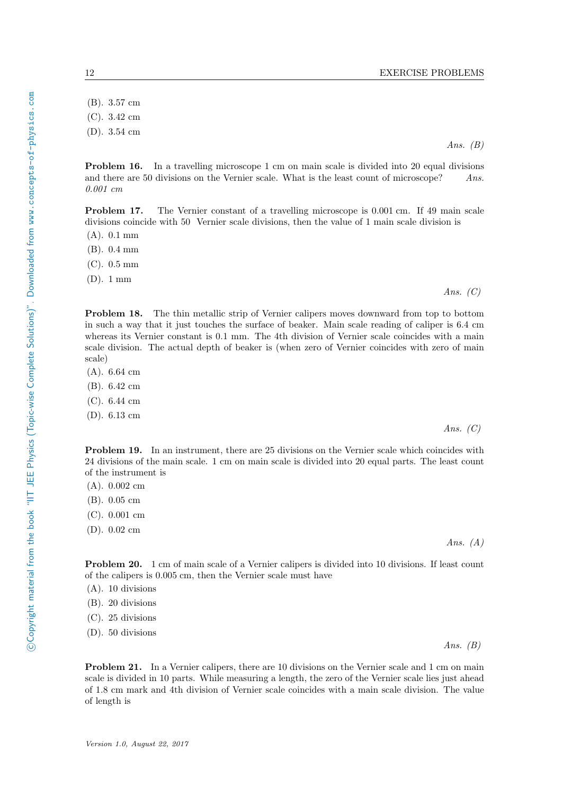(B). 3.57 cm (C). 3.42 cm

(D). 3.54 cm

Problem 16. In a travelling microscope 1 cm on main scale is divided into 20 equal divisions and there are 50 divisions on the Vernier scale. What is the least count of microscope? Ans. 0.001 cm

Problem 17. The Vernier constant of a travelling microscope is 0.001 cm. If 49 main scale divisions coincide with 50 Vernier scale divisions, then the value of 1 main scale division is

(A). 0.1 mm

(B). 0.4 mm

(C). 0.5 mm

(D). 1 mm

Problem 18. The thin metallic strip of Vernier calipers moves downward from top to bottom in such a way that it just touches the surface of beaker. Main scale reading of caliper is 6.4 cm whereas its Vernier constant is 0.1 mm. The 4th division of Vernier scale coincides with a main scale division. The actual depth of beaker is (when zero of Vernier coincides with zero of main scale)

- (A). 6.64 cm
- (B). 6.42 cm
- (C). 6.44 cm
- (D). 6.13 cm

Problem 19. In an instrument, there are 25 divisions on the Vernier scale which coincides with 24 divisions of the main scale. 1 cm on main scale is divided into 20 equal parts. The least count of the instrument is

- (A). 0.002 cm
- (B). 0.05 cm
- (C). 0.001 cm
- (D). 0.02 cm

Problem 20. 1 cm of main scale of a Vernier calipers is divided into 10 divisions. If least count of the calipers is 0.005 cm, then the Vernier scale must have

- (A). 10 divisions
- (B). 20 divisions
- (C). 25 divisions
- (D). 50 divisions

Problem 21. In a Vernier calipers, there are 10 divisions on the Vernier scale and 1 cm on main scale is divided in 10 parts. While measuring a length, the zero of the Vernier scale lies just ahead of 1.8 cm mark and 4th division of Vernier scale coincides with a main scale division. The value of length is

Ans.  $(B)$ 

Ans.  $(C)$ 

Ans.  $(C)$ 

Ans.  $(A)$ 

Ans.  $(B)$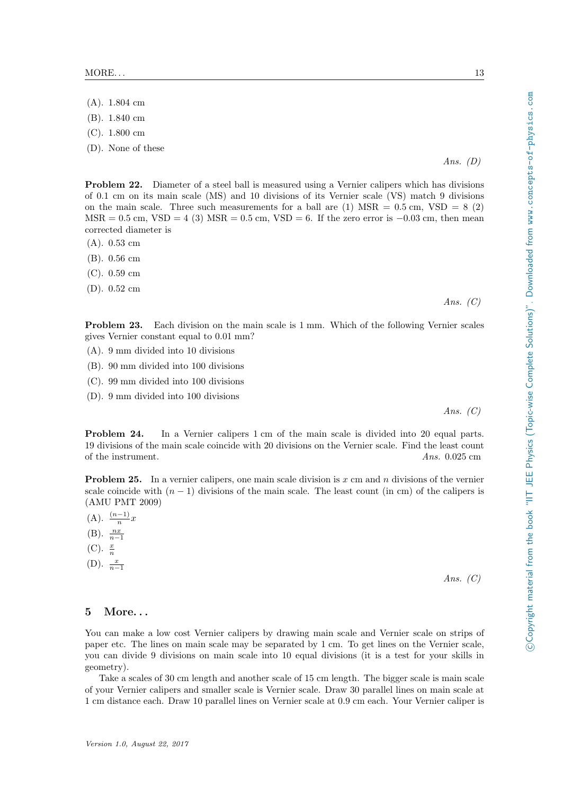- (A). 1.804 cm
- (B). 1.840 cm
- (C). 1.800 cm
- (D). None of these

Problem 22. Diameter of a steel ball is measured using a Vernier calipers which has divisions of 0.1 cm on its main scale (MS) and 10 divisions of its Vernier scale (VS) match 9 divisions on the main scale. Three such measurements for a ball are  $(1)$  MSR =  $0.5$  cm, VSD =  $8$  (2) MSR = 0.5 cm, VSD = 4 (3) MSR = 0.5 cm, VSD = 6. If the zero error is  $-0.03$  cm, then mean corrected diameter is

- (A). 0.53 cm
- (B). 0.56 cm
- (C). 0.59 cm
- (D). 0.52 cm

Ans.  $(C)$ 

Ans.  $(D)$ 

Problem 23. Each division on the main scale is 1 mm. Which of the following Vernier scales gives Vernier constant equal to 0.01 mm?

- (A). 9 mm divided into 10 divisions
- (B). 90 mm divided into 100 divisions
- (C). 99 mm divided into 100 divisions
- (D). 9 mm divided into 100 divisions

Ans.  $(C)$ 

Problem 24. In a Vernier calipers 1 cm of the main scale is divided into 20 equal parts. 19 divisions of the main scale coincide with 20 divisions on the Vernier scale. Find the least count of the instrument. Ans. 0.025 cm

**Problem 25.** In a vernier calipers, one main scale division is x cm and n divisions of the vernier scale coincide with  $(n - 1)$  divisions of the main scale. The least count (in cm) of the calipers is (AMU PMT 2009)

- $(A)$ .  $\frac{(n-1)}{n}x$
- (B).  $\frac{nx}{n-1}$
- (C).  $\frac{x}{n}$
- (D).  $\frac{x}{n-1}$

Ans.  $(C)$ 

#### <span id="page-14-0"></span>5 More. . .

You can make a low cost Vernier calipers by drawing main scale and Vernier scale on strips of paper etc. The lines on main scale may be separated by 1 cm. To get lines on the Vernier scale, you can divide 9 divisions on main scale into 10 equal divisions (it is a test for your skills in geometry).

Take a scales of 30 cm length and another scale of 15 cm length. The bigger scale is main scale of your Vernier calipers and smaller scale is Vernier scale. Draw 30 parallel lines on main scale at 1 cm distance each. Draw 10 parallel lines on Vernier scale at 0.9 cm each. Your Vernier caliper is